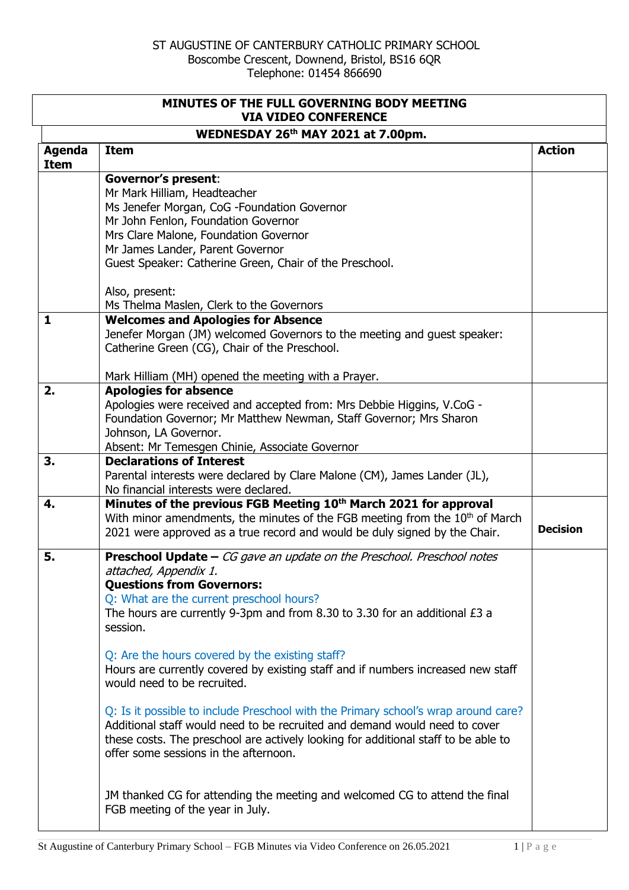## ST AUGUSTINE OF CANTERBURY CATHOLIC PRIMARY SCHOOL Boscombe Crescent, Downend, Bristol, BS16 6QR Telephone: 01454 866690

| MINUTES OF THE FULL GOVERNING BODY MEETING<br><b>VIA VIDEO CONFERENCE</b> |                                                                                             |                 |  |  |  |
|---------------------------------------------------------------------------|---------------------------------------------------------------------------------------------|-----------------|--|--|--|
|                                                                           | <b>WEDNESDAY 26th MAY 2021 at 7.00pm.</b>                                                   |                 |  |  |  |
| <b>Agenda</b><br><b>Item</b>                                              | <b>Item</b>                                                                                 | <b>Action</b>   |  |  |  |
|                                                                           | <b>Governor's present:</b>                                                                  |                 |  |  |  |
|                                                                           | Mr Mark Hilliam, Headteacher                                                                |                 |  |  |  |
|                                                                           | Ms Jenefer Morgan, CoG - Foundation Governor                                                |                 |  |  |  |
|                                                                           | Mr John Fenlon, Foundation Governor                                                         |                 |  |  |  |
|                                                                           | Mrs Clare Malone, Foundation Governor                                                       |                 |  |  |  |
|                                                                           | Mr James Lander, Parent Governor<br>Guest Speaker: Catherine Green, Chair of the Preschool. |                 |  |  |  |
|                                                                           | Also, present:                                                                              |                 |  |  |  |
|                                                                           | Ms Thelma Maslen, Clerk to the Governors                                                    |                 |  |  |  |
| $\mathbf{1}$                                                              | <b>Welcomes and Apologies for Absence</b>                                                   |                 |  |  |  |
|                                                                           | Jenefer Morgan (JM) welcomed Governors to the meeting and guest speaker:                    |                 |  |  |  |
|                                                                           | Catherine Green (CG), Chair of the Preschool.                                               |                 |  |  |  |
|                                                                           | Mark Hilliam (MH) opened the meeting with a Prayer.                                         |                 |  |  |  |
| 2.                                                                        | <b>Apologies for absence</b>                                                                |                 |  |  |  |
|                                                                           | Apologies were received and accepted from: Mrs Debbie Higgins, V.CoG -                      |                 |  |  |  |
|                                                                           | Foundation Governor; Mr Matthew Newman, Staff Governor; Mrs Sharon                          |                 |  |  |  |
|                                                                           | Johnson, LA Governor.                                                                       |                 |  |  |  |
| 3.                                                                        | Absent: Mr Temesgen Chinie, Associate Governor<br><b>Declarations of Interest</b>           |                 |  |  |  |
|                                                                           | Parental interests were declared by Clare Malone (CM), James Lander (JL),                   |                 |  |  |  |
|                                                                           | No financial interests were declared.                                                       |                 |  |  |  |
| 4.                                                                        | Minutes of the previous FGB Meeting 10 <sup>th</sup> March 2021 for approval                |                 |  |  |  |
|                                                                           | With minor amendments, the minutes of the FGB meeting from the 10 <sup>th</sup> of March    | <b>Decision</b> |  |  |  |
|                                                                           | 2021 were approved as a true record and would be duly signed by the Chair.                  |                 |  |  |  |
| 5.                                                                        | <b>Preschool Update - CG</b> gave an update on the Preschool. Preschool notes               |                 |  |  |  |
|                                                                           | attached, Appendix 1.                                                                       |                 |  |  |  |
|                                                                           | <b>Questions from Governors:</b>                                                            |                 |  |  |  |
|                                                                           | Q: What are the current preschool hours?                                                    |                 |  |  |  |
|                                                                           | The hours are currently 9-3pm and from 8.30 to 3.30 for an additional £3 a<br>session.      |                 |  |  |  |
|                                                                           | Q: Are the hours covered by the existing staff?                                             |                 |  |  |  |
|                                                                           | Hours are currently covered by existing staff and if numbers increased new staff            |                 |  |  |  |
|                                                                           | would need to be recruited.                                                                 |                 |  |  |  |
|                                                                           | Q: Is it possible to include Preschool with the Primary school's wrap around care?          |                 |  |  |  |
|                                                                           | Additional staff would need to be recruited and demand would need to cover                  |                 |  |  |  |
|                                                                           | these costs. The preschool are actively looking for additional staff to be able to          |                 |  |  |  |
|                                                                           | offer some sessions in the afternoon.                                                       |                 |  |  |  |
|                                                                           |                                                                                             |                 |  |  |  |
|                                                                           | JM thanked CG for attending the meeting and welcomed CG to attend the final                 |                 |  |  |  |
|                                                                           | FGB meeting of the year in July.                                                            |                 |  |  |  |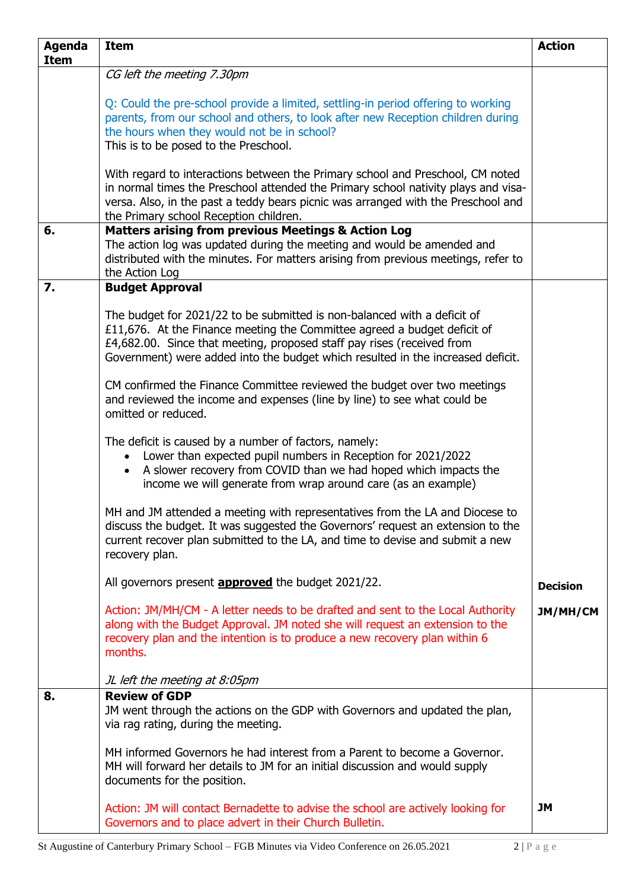| <b>Agenda</b><br><b>Item</b> | <b>Item</b>                                                                                                                                                                                                                                                                                                       | <b>Action</b>   |
|------------------------------|-------------------------------------------------------------------------------------------------------------------------------------------------------------------------------------------------------------------------------------------------------------------------------------------------------------------|-----------------|
|                              | CG left the meeting 7.30pm                                                                                                                                                                                                                                                                                        |                 |
|                              | Q: Could the pre-school provide a limited, settling-in period offering to working<br>parents, from our school and others, to look after new Reception children during<br>the hours when they would not be in school?<br>This is to be posed to the Preschool.                                                     |                 |
|                              | With regard to interactions between the Primary school and Preschool, CM noted<br>in normal times the Preschool attended the Primary school nativity plays and visa-<br>versa. Also, in the past a teddy bears picnic was arranged with the Preschool and<br>the Primary school Reception children.               |                 |
| 6.                           | <b>Matters arising from previous Meetings &amp; Action Log</b><br>The action log was updated during the meeting and would be amended and<br>distributed with the minutes. For matters arising from previous meetings, refer to<br>the Action Log                                                                  |                 |
| 7.                           | <b>Budget Approval</b>                                                                                                                                                                                                                                                                                            |                 |
|                              | The budget for 2021/22 to be submitted is non-balanced with a deficit of<br>£11,676. At the Finance meeting the Committee agreed a budget deficit of<br>£4,682.00. Since that meeting, proposed staff pay rises (received from<br>Government) were added into the budget which resulted in the increased deficit. |                 |
|                              | CM confirmed the Finance Committee reviewed the budget over two meetings<br>and reviewed the income and expenses (line by line) to see what could be<br>omitted or reduced.                                                                                                                                       |                 |
|                              | The deficit is caused by a number of factors, namely:<br>Lower than expected pupil numbers in Reception for 2021/2022<br>A slower recovery from COVID than we had hoped which impacts the<br>income we will generate from wrap around care (as an example)                                                        |                 |
|                              | MH and JM attended a meeting with representatives from the LA and Diocese to<br>discuss the budget. It was suggested the Governors' request an extension to the<br>current recover plan submitted to the LA, and time to devise and submit a new<br>recovery plan.                                                |                 |
|                              | All governors present <b>approved</b> the budget 2021/22.                                                                                                                                                                                                                                                         | <b>Decision</b> |
|                              | Action: JM/MH/CM - A letter needs to be drafted and sent to the Local Authority<br>along with the Budget Approval. JM noted she will request an extension to the<br>recovery plan and the intention is to produce a new recovery plan within 6<br>months.                                                         | JM/MH/CM        |
|                              | JL left the meeting at 8:05pm                                                                                                                                                                                                                                                                                     |                 |
| 8.                           | <b>Review of GDP</b><br>JM went through the actions on the GDP with Governors and updated the plan,<br>via rag rating, during the meeting.                                                                                                                                                                        |                 |
|                              | MH informed Governors he had interest from a Parent to become a Governor.<br>MH will forward her details to JM for an initial discussion and would supply<br>documents for the position.                                                                                                                          |                 |
|                              | Action: JM will contact Bernadette to advise the school are actively looking for<br>Governors and to place advert in their Church Bulletin.                                                                                                                                                                       | <b>JM</b>       |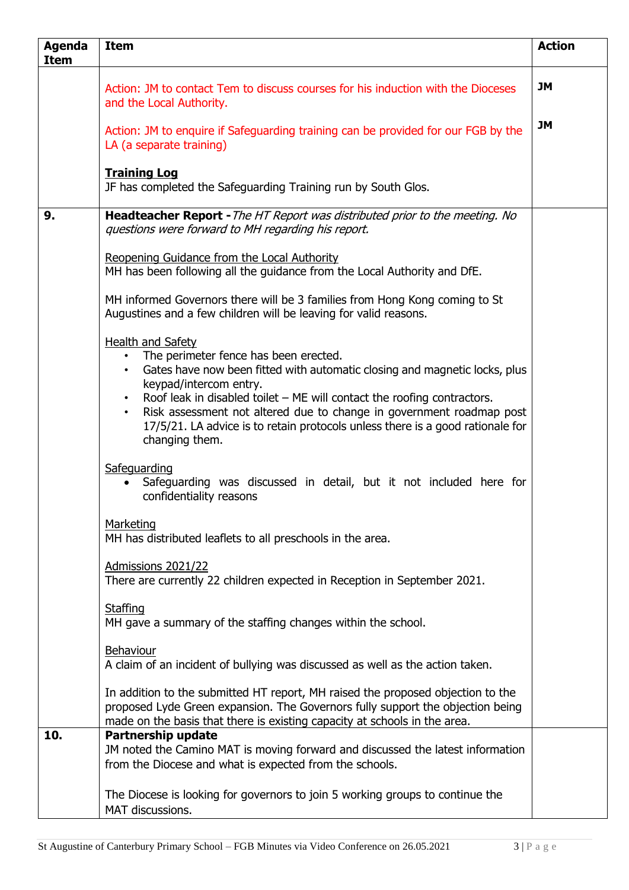| <b>Agenda</b><br><b>Item</b> | <b>Item</b>                                                                                                                                                                                                                                                                                                                                                                                                                                           | <b>Action</b> |
|------------------------------|-------------------------------------------------------------------------------------------------------------------------------------------------------------------------------------------------------------------------------------------------------------------------------------------------------------------------------------------------------------------------------------------------------------------------------------------------------|---------------|
|                              | Action: JM to contact Tem to discuss courses for his induction with the Dioceses<br>and the Local Authority.                                                                                                                                                                                                                                                                                                                                          | JM            |
|                              | Action: JM to enquire if Safeguarding training can be provided for our FGB by the<br>LA (a separate training)                                                                                                                                                                                                                                                                                                                                         | <b>JM</b>     |
|                              | <b>Training Log</b><br>JF has completed the Safeguarding Training run by South Glos.                                                                                                                                                                                                                                                                                                                                                                  |               |
| 9.                           | Headteacher Report - The HT Report was distributed prior to the meeting. No<br>questions were forward to MH regarding his report.                                                                                                                                                                                                                                                                                                                     |               |
|                              | Reopening Guidance from the Local Authority<br>MH has been following all the guidance from the Local Authority and DfE.                                                                                                                                                                                                                                                                                                                               |               |
|                              | MH informed Governors there will be 3 families from Hong Kong coming to St<br>Augustines and a few children will be leaving for valid reasons.                                                                                                                                                                                                                                                                                                        |               |
|                              | Health and Safety<br>The perimeter fence has been erected.<br>Gates have now been fitted with automatic closing and magnetic locks, plus<br>keypad/intercom entry.<br>Roof leak in disabled toilet $-$ ME will contact the roofing contractors.<br>$\bullet$<br>Risk assessment not altered due to change in government roadmap post<br>$\bullet$<br>17/5/21. LA advice is to retain protocols unless there is a good rationale for<br>changing them. |               |
|                              | Safeguarding<br>Safeguarding was discussed in detail, but it not included here for<br>confidentiality reasons                                                                                                                                                                                                                                                                                                                                         |               |
|                              | Marketing<br>MH has distributed leaflets to all preschools in the area.                                                                                                                                                                                                                                                                                                                                                                               |               |
|                              | Admissions 2021/22<br>There are currently 22 children expected in Reception in September 2021.                                                                                                                                                                                                                                                                                                                                                        |               |
|                              | <b>Staffing</b><br>MH gave a summary of the staffing changes within the school.                                                                                                                                                                                                                                                                                                                                                                       |               |
|                              | Behaviour<br>A claim of an incident of bullying was discussed as well as the action taken.                                                                                                                                                                                                                                                                                                                                                            |               |
|                              | In addition to the submitted HT report, MH raised the proposed objection to the<br>proposed Lyde Green expansion. The Governors fully support the objection being<br>made on the basis that there is existing capacity at schools in the area.                                                                                                                                                                                                        |               |
| 10.                          | <b>Partnership update</b><br>JM noted the Camino MAT is moving forward and discussed the latest information<br>from the Diocese and what is expected from the schools.                                                                                                                                                                                                                                                                                |               |
|                              | The Diocese is looking for governors to join 5 working groups to continue the<br>MAT discussions.                                                                                                                                                                                                                                                                                                                                                     |               |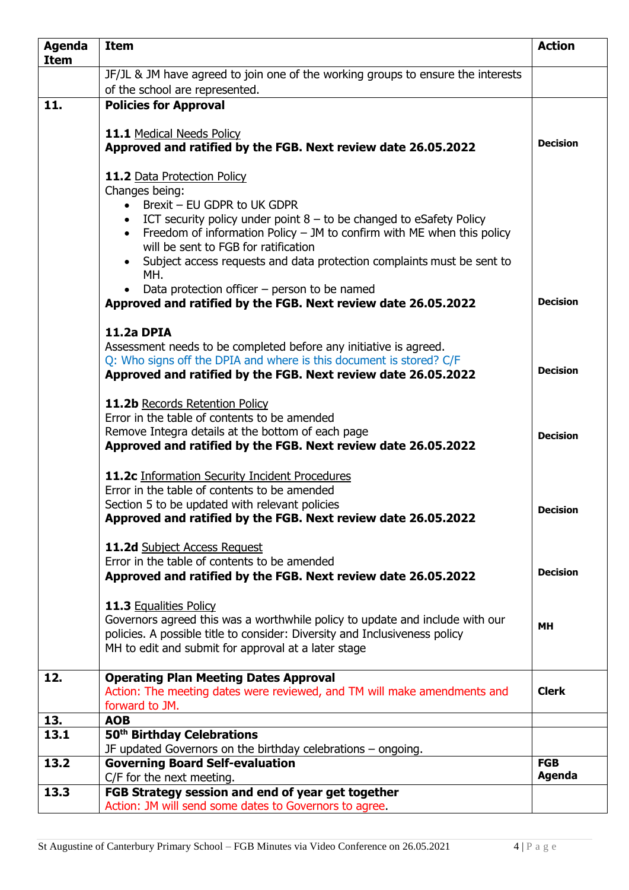| <b>Agenda</b> | <b>Item</b>                                                                                                 | <b>Action</b>        |
|---------------|-------------------------------------------------------------------------------------------------------------|----------------------|
| <b>Item</b>   |                                                                                                             |                      |
|               | JF/JL & JM have agreed to join one of the working groups to ensure the interests                            |                      |
|               | of the school are represented.                                                                              |                      |
| 11.           | <b>Policies for Approval</b>                                                                                |                      |
|               | 11.1 Medical Needs Policy                                                                                   |                      |
|               | Approved and ratified by the FGB. Next review date 26.05.2022                                               | <b>Decision</b>      |
|               |                                                                                                             |                      |
|               | 11.2 Data Protection Policy                                                                                 |                      |
|               | Changes being:                                                                                              |                      |
|               | Brexit - EU GDPR to UK GDPR<br>$\bullet$                                                                    |                      |
|               | ICT security policy under point $8 -$ to be changed to eSafety Policy<br>$\bullet$                          |                      |
|               | Freedom of information Policy $-$ JM to confirm with ME when this policy<br>$\bullet$                       |                      |
|               | will be sent to FGB for ratification                                                                        |                      |
|               | Subject access requests and data protection complaints must be sent to<br>$\bullet$<br>MH.                  |                      |
|               | Data protection officer $-$ person to be named                                                              |                      |
|               | Approved and ratified by the FGB. Next review date 26.05.2022                                               | <b>Decision</b>      |
|               |                                                                                                             |                      |
|               | 11.2a DPIA                                                                                                  |                      |
|               | Assessment needs to be completed before any initiative is agreed.                                           |                      |
|               | Q: Who signs off the DPIA and where is this document is stored? C/F                                         | <b>Decision</b>      |
|               | Approved and ratified by the FGB. Next review date 26.05.2022                                               |                      |
|               | 11.2b Records Retention Policy                                                                              |                      |
|               | Error in the table of contents to be amended                                                                |                      |
|               | Remove Integra details at the bottom of each page                                                           | <b>Decision</b>      |
|               | Approved and ratified by the FGB. Next review date 26.05.2022                                               |                      |
|               | <b>11.2c Information Security Incident Procedures</b>                                                       |                      |
|               | Error in the table of contents to be amended                                                                |                      |
|               | Section 5 to be updated with relevant policies                                                              | <b>Decision</b>      |
|               | Approved and ratified by the FGB. Next review date 26.05.2022                                               |                      |
|               | <b>11.2d</b> Subject Access Request                                                                         |                      |
|               | Error in the table of contents to be amended                                                                |                      |
|               | Approved and ratified by the FGB. Next review date 26.05.2022                                               | <b>Decision</b>      |
|               | 11.3 Equalities Policy                                                                                      |                      |
|               | Governors agreed this was a worthwhile policy to update and include with our                                |                      |
|               | policies. A possible title to consider: Diversity and Inclusiveness policy                                  | <b>MH</b>            |
|               | MH to edit and submit for approval at a later stage                                                         |                      |
| 12.           | <b>Operating Plan Meeting Dates Approval</b>                                                                |                      |
|               | Action: The meeting dates were reviewed, and TM will make amendments and                                    | <b>Clerk</b>         |
|               | forward to JM.                                                                                              |                      |
| 13.           | <b>AOB</b>                                                                                                  |                      |
| 13.1          | 50 <sup>th</sup> Birthday Celebrations                                                                      |                      |
|               | JF updated Governors on the birthday celebrations - ongoing.                                                |                      |
| 13.2          | <b>Governing Board Self-evaluation</b>                                                                      | <b>FGB</b><br>Agenda |
|               | C/F for the next meeting.                                                                                   |                      |
| 13.3          | FGB Strategy session and end of year get together<br>Action: JM will send some dates to Governors to agree. |                      |
|               |                                                                                                             |                      |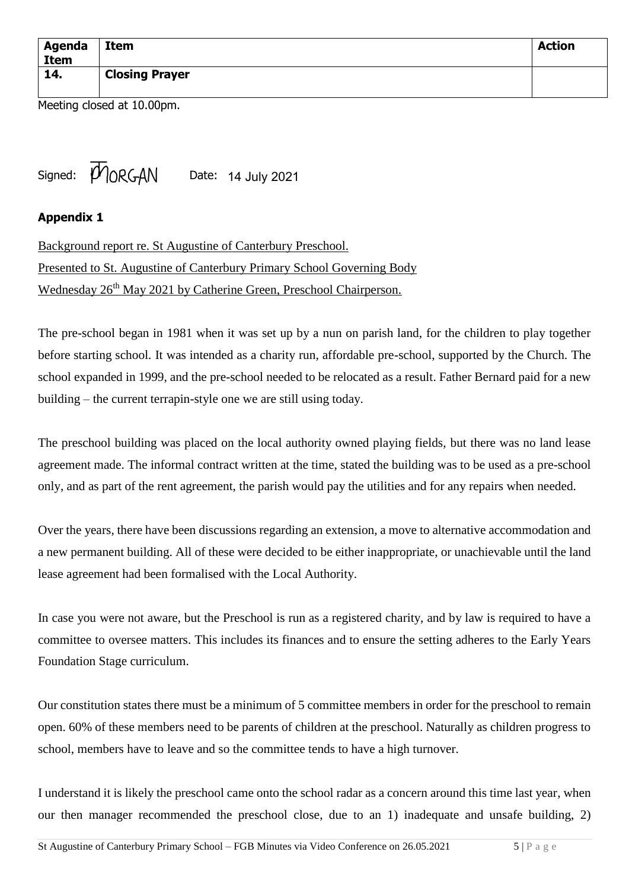| <b>Agenda</b><br><b>Item</b> | Item                  | <b>Action</b> |
|------------------------------|-----------------------|---------------|
| 14.                          | <b>Closing Prayer</b> |               |

Meeting closed at 10.00pm.

Signed:  $\overline{\phi}$  ORGAN Date: 14 July 2021

## **Appendix 1**

Background report re. St Augustine of Canterbury Preschool. Presented to St. Augustine of Canterbury Primary School Governing Body Wednesday 26<sup>th</sup> May 2021 by Catherine Green, Preschool Chairperson.

The pre-school began in 1981 when it was set up by a nun on parish land, for the children to play together before starting school. It was intended as a charity run, affordable pre-school, supported by the Church. The school expanded in 1999, and the pre-school needed to be relocated as a result. Father Bernard paid for a new building – the current terrapin-style one we are still using today.

The preschool building was placed on the local authority owned playing fields, but there was no land lease agreement made. The informal contract written at the time, stated the building was to be used as a pre-school only, and as part of the rent agreement, the parish would pay the utilities and for any repairs when needed.

Over the years, there have been discussions regarding an extension, a move to alternative accommodation and a new permanent building. All of these were decided to be either inappropriate, or unachievable until the land lease agreement had been formalised with the Local Authority.

In case you were not aware, but the Preschool is run as a registered charity, and by law is required to have a committee to oversee matters. This includes its finances and to ensure the setting adheres to the Early Years Foundation Stage curriculum.

Our constitution states there must be a minimum of 5 committee members in order for the preschool to remain open. 60% of these members need to be parents of children at the preschool. Naturally as children progress to school, members have to leave and so the committee tends to have a high turnover.

I understand it is likely the preschool came onto the school radar as a concern around this time last year, when our then manager recommended the preschool close, due to an 1) inadequate and unsafe building, 2)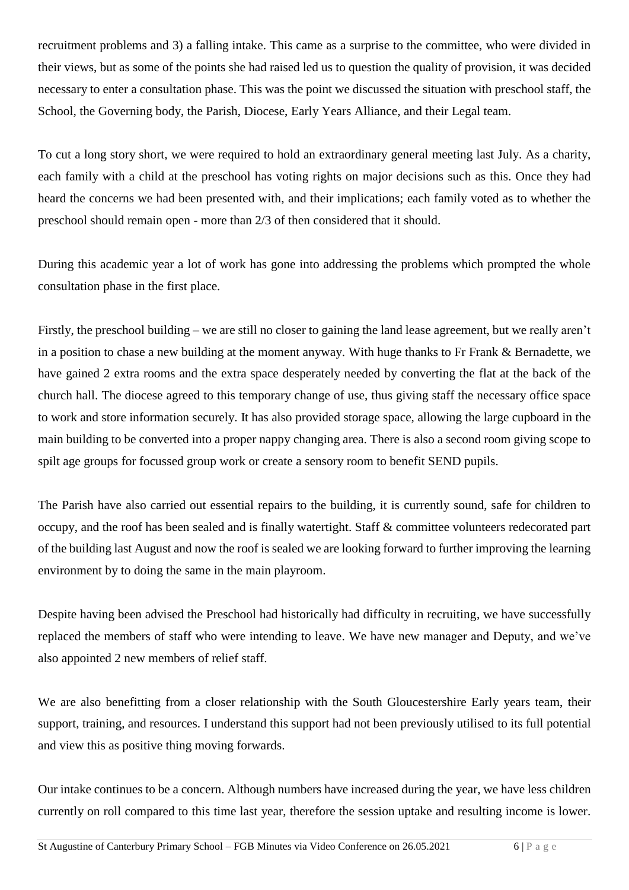recruitment problems and 3) a falling intake. This came as a surprise to the committee, who were divided in their views, but as some of the points she had raised led us to question the quality of provision, it was decided necessary to enter a consultation phase. This was the point we discussed the situation with preschool staff, the School, the Governing body, the Parish, Diocese, Early Years Alliance, and their Legal team.

To cut a long story short, we were required to hold an extraordinary general meeting last July. As a charity, each family with a child at the preschool has voting rights on major decisions such as this. Once they had heard the concerns we had been presented with, and their implications; each family voted as to whether the preschool should remain open - more than 2/3 of then considered that it should.

During this academic year a lot of work has gone into addressing the problems which prompted the whole consultation phase in the first place.

Firstly, the preschool building – we are still no closer to gaining the land lease agreement, but we really aren't in a position to chase a new building at the moment anyway. With huge thanks to Fr Frank & Bernadette, we have gained 2 extra rooms and the extra space desperately needed by converting the flat at the back of the church hall. The diocese agreed to this temporary change of use, thus giving staff the necessary office space to work and store information securely. It has also provided storage space, allowing the large cupboard in the main building to be converted into a proper nappy changing area. There is also a second room giving scope to spilt age groups for focussed group work or create a sensory room to benefit SEND pupils.

The Parish have also carried out essential repairs to the building, it is currently sound, safe for children to occupy, and the roof has been sealed and is finally watertight. Staff & committee volunteers redecorated part of the building last August and now the roof is sealed we are looking forward to further improving the learning environment by to doing the same in the main playroom.

Despite having been advised the Preschool had historically had difficulty in recruiting, we have successfully replaced the members of staff who were intending to leave. We have new manager and Deputy, and we've also appointed 2 new members of relief staff.

We are also benefitting from a closer relationship with the South Gloucestershire Early years team, their support, training, and resources. I understand this support had not been previously utilised to its full potential and view this as positive thing moving forwards.

Our intake continues to be a concern. Although numbers have increased during the year, we have less children currently on roll compared to this time last year, therefore the session uptake and resulting income is lower.